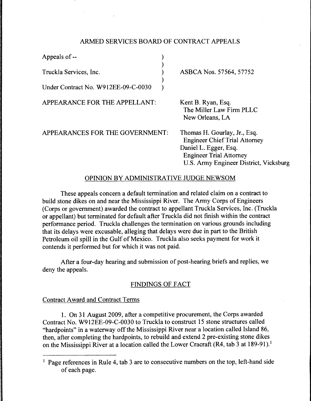# ARMED SERVICES BOARD OF CONTRACT APPEALS

)

)

Appeals of -- (a)

Truckla Services, Inc. (1998)

Under Contract No. W912EE-09-C-0030 )

APPEARANCE FOR THE APPELLANT:

ASBCA Nos. 57564, 57752

Kent B. Ryan, Esq. The Miller Law Firm PLLC New Orleans, LA

APPEARANCES FOR THE GOVERNMENT:

Thomas H. Gourlay, Jr., Esq. Engineer Chief Trial Attorney Daniel L. Egger, Esq. Engineer Trial Attorney U.S. Army Engineer District, Vicksburg

## OPINION BY ADMINISTRATIVE JUDGE NEWSOM

These appeals concern a default termination and related claim on a contract to build stone dikes on and near the Mississippi River. The Army Corps of Engineers (Corps or government) awarded the contract to appellant Truckla Services, Inc. (Truckla or appellant) but terminated for default after Truckla did not finish within the contract performance period. Truckla challenges the termination on various grounds including that its delays were excusable, alleging that delays were due in part to the British Petroleum oil spill in the Gulf of Mexico. Truckla also seeks payment for work it contends it performed but for which it was not paid.

After a four-day hearing and submission of post-hearing briefs and replies, we deny the appeals.

## FINDINGS OF FACT

## Contract Award and Contract Terms

1. On 31 August 2009, after a competitive procurement, the Corps awarded Contract No. W912EE-09-C-0030 to Truckla to construct 15 stone structures called "hardpoints" in a waterway off the Mississippi River near a location called Island 86, then, after completing the hardpoints, to rebuild and extend 2 pre-existing stone dikes on the Mississippi River at a location called the Lower Cracraft (R4, tab 3 at 189-91). <sup>1</sup>

<sup>&</sup>lt;sup>1</sup> Page references in Rule 4, tab 3 are to consecutive numbers on the top, left-hand side of each page.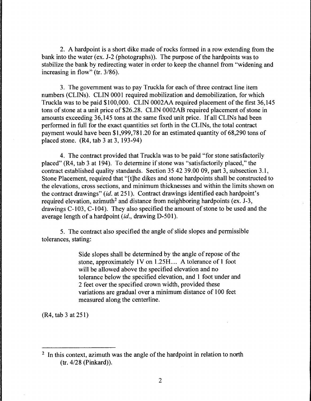2. A hardpoint is a short dike made of rocks formed in a row extending from the bank into the water (ex. J-2 (photographs)). The purpose of the hardpoints was to stabilize the bank by redirecting water in order to keep the channel from "widening and increasing in flow" (tr. 3/86).

3. The government was to pay Truckla for each of three contract line item numbers (CLINs). CLIN 0001 required mobilization and demobilization, for which Truckla was to be paid \$100,000. CLIN 0002AA required placement of the first 36,145 tons of stone at a unit price of \$26.28. CLIN 0002AB required placement of stone in amounts exceeding 36,145 tons at the same fixed unit price. If all CLINs had been performed in full for the exact quantities set forth in the CLINs, the total contract payment would have been \$1,999,781.20 for an estimated quantity of 68,290 tons of placed stone. (R4, tab 3 at 3, 193-94)

4. The contract provided that Truckla was to be paid "for stone satisfactorily placed" (R4, tab 3 at 194). To determine if stone was "satisfactorily placed," the contract established quality standards. Section 35 42 39.00 09, part 3, subsection 3.1, Stone Placement, required that "[t]he dikes and stone hardpoints shall be constructed to the elevations, cross sections, and minimum thicknesses and within the limits shown on the contract drawings" *(id.* at 251). Contract drawings identified each hardpoint's required elevation, azimuth<sup>2</sup> and distance from neighboring hardpoints (ex.  $J-3$ , drawings C-103, C-104). They also specified the amount of stone to be used and the average length of a hardpoint *(id., drawing D-501).* 

5. The contract also specified the angle of slide slopes and permissible tolerances, stating:

> Side slopes shall be determined by the angle of repose of the stone, approximately 1V on 1.25H.... A tolerance of 1 foot will be allowed above the specified elevation and no tolerance below the specified elevation, and I foot under and 2 feet over the specified crown width, provided these variations are gradual over a minimum distance of 100 feet measured along the centerline.

(R4, tab 3 at 251)

<sup>&</sup>lt;sup>2</sup> In this context, azimuth was the angle of the hardpoint in relation to north (tr. 4/28 (Pinkard)).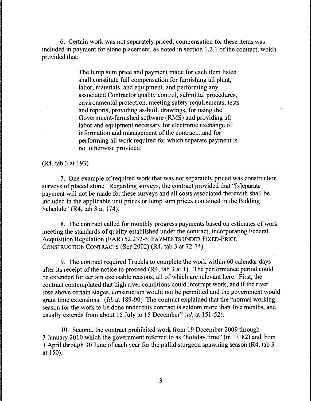6. Certain work was not separately priced; compensation for these items was included in payment for stone placement, as noted in section 1.2.1 of the contract, which provided that:

> The lump sum price and payment made for each item listed shall constitute full compensation for furnishing all plant, labor, materials, and equipment, and performing any associated Contractor quality control, submittal procedures, environmental protection, meeting safety requirements, tests and reports, providing as-built drawings, for using the Government-furnished software (RMS) and providing all labor and equipment necessary for electronic exchange of information and management of the contract.. .and for performing all work required for which separate payment is not otherwise provided.

(R4, tab 3at193)

7. One example of required work that was not separately priced was construction surveys of placed stone. Regarding surveys, the contract provided that "[s]eparate payment will not be made for these surveys and all costs associated therewith shall be included in the applicable unit prices or lump sum prices contained in the Bidding Schedule" (R4, tab 3 at 174).

8. The contract called for monthly progress payments based on estimates of work meeting the standards of quality established under the contract, incorporating Federal Acquisition Regulation (FAR) 52.232-5, PAYMENTS UNDER FIXED-PRICE CONSTRUCTION CONTRACTS (SEP 2002) (R4, tab 3 at 72-74).

9. The contract required Truckla to complete the work within 60 calendar days after its receipt of the notice to proceed (R4, tab 3 at 1 ). The performance period could be extended for certain excusable reasons, all of which are relevant here. First, the contract contemplated that high river conditions could interrupt work, and if the river rose above certain stages, construction would not be permitted and the government would grant time extensions. *(Id.* at 189-90) The contract explained that the "normal working season for the work to be done under this contract is seldom more than five months, and usually extends from about 15 July to 15 December" *(id.* at 151-52).

10. Second, the contract prohibited work from 19 December 2009 through 3 January 2010 which the government referred to as "holiday time" (tr. 11182) and from 1 April through 30 June of each year for the pallid sturgeon spawning season (R4, tab 3 at 150).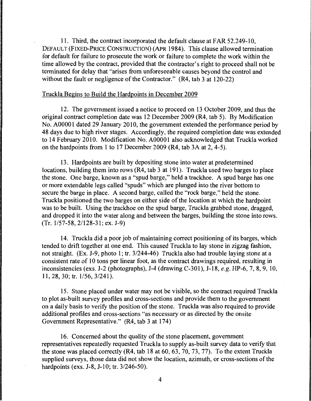11. Third, the contract incorporated the default clause at FAR 52.249-10, DEFAULT (FIXED-PRICE CONSTRUCTION) (APR 1984 ). This clause allowed termination for default for failure to prosecute the work or failure to complete the work within the time allowed by the contract, provided that the contractor's right to proceed shall not be terminated for delay that "arises from unforeseeable causes beyond the control and without the fault or negligence of the Contractor." (R4, tab 3 at 120-22)

#### Truckla Begins to Build the Hardpoints in December 2009

12. The government issued a notice to proceed on 13 October 2009, and thus the original contract completion date was 12 December 2009 (R4, tab 5). By Modification No. A00001 dated 29 January 2010, the government extended the performance period by 48 days due to high river stages. Accordingly, the required completion date was extended to 14 February 2010. Modification No. AOOOOl also acknowledged that Truckla worked on the hardpoints from 1 to 17 December 2009 (R4, tab 3A at 2, 4-5).

13. Hardpoints are built by depositing stone into water at predetermined locations, building them into rows (R4, tab 3 at 191). Truckla used two barges to place the stone. One barge, known as a "spud barge," held a trackhoe. A spud barge has one or more extendable legs called "spuds" which are plunged into the river bottom to secure the barge in place. A second barge, called the "rock barge," held the stone. Truckla positioned the two barges on either side of the location at which the hardpoint was to be built. Using the trackhoe on the spud barge, Truckla grabbed stone, dragged, and dropped it into the water along and between the barges, building the stone into rows. (Tr. 1/57-58, 2/128-31; ex. J-9)

14. Truckla did a poor job of maintaining correct positioning of its barges, which tended to drift together at one end. This caused Truckla to lay stone in zigzag fashion, not straight. (Ex. J-9, photo 1; tr. 3/244-46) Truckla also had trouble laying stone at a consistent rate of 10 tons per linear foot, as the contract drawings required, resulting in inconsistencies (exs. J-2 (photographs), J-4 (drawing C-301), J-18, *e.g.* HP-6, 7, 8, 9, 10, 11, 28, 30; tr. *1156,* 3/241 ).

15. Stone placed under water may not be visible, so the contract required Truckla to plot as-built survey profiles and cross-sections and provide them to the government on a daily basis to verify the position of the stone. Truckla was also required to provide additional profiles and cross-sections "as necessary or as directed by the onsite Government Representative." (R4, tab 3 at 174)

16. Concerned about the quality of the stone placement, government representatives repeatedly requested Truckla to supply as-built survey data to verify that the stone was placed correctly (R4, tab 18 at 60, 63, 70, 73, 77). To the extent Truckla supplied surveys, those data did not show the location, azimuth, or cross-sections of the hardpoints (exs. J-8, J-10; tr. 3/246-50).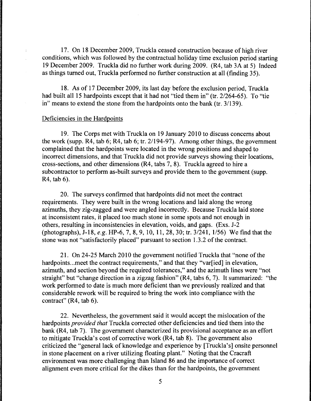17. On 18 December 2009, Truckla ceased construction because of high river conditions, which was followed by the contractual holiday time exclusion period starting 19 December 2009. Truckla did no further work during 2009. (R4, tab 3A at 5) Indeed as things turned out, Truckla performed no further construction at all (finding 35).

18. As of 17 December 2009, its last day before the exclusion period, Truckla had built all 15 hardpoints except that it had not "tied them in" (tr. 2/264-65). To "tie in" means to extend the stone from the hardpoints onto the bank (tr. 3/139).

#### Deficiencies in the Hardpoints

 $\overline{1}$ 

19. The Corps met with Truckla on 19 January 2010 to discuss concerns about the work (supp. R4, tab 6; R4, tab 6; tr. 2/194-97). Among other things, the government complained that the hardpoints were located in the wrong positions and shaped to incorrect dimensions, and that Truckla did not provide surveys showing their locations, cross-sections, and other dimensions (R4, tabs 7, 8). Truckla agreed to hire a subcontractor to perform as-built surveys and provide them to the government (supp. R4, tab 6).

20. The surveys confirmed that hardpoints did not meet the contract requirements. They were built in the wrong locations and laid along the wrong azimuths, they zig-zagged and were angled incorrectly. Because Truckla laid stone at inconsistent rates, it placed too much stone in some spots and not enough in others, resulting in inconsistencies in elevation, voids, and gaps. (Exs. J-2 (photographs), J-18, *e.g.* HP-6, 7, 8, 9, 10, 11, 28, 30; tr. 3/241, 1/56) We find that the stone was not "satisfactorily placed" pursuant to section 1.3.2 of the contract.

21. On 24-25 March 2010 the government notified Truckla that "none of the hardpoints... meet the contract requirements," and that they "var[ied] in elevation, azimuth, and section beyond the required tolerances," and the azimuth lines were "not straight" but "change direction in a zigzag fashion" (R4, tabs 6, 7). It summarized: "the work performed to date is much more deficient than we previously realized and that considerable rework will be required to bring the work into compliance with the contract" (R4, tab 6).

22. Nevertheless, the government said it would accept the mislocation of the hardpoints *provided that* Truckla corrected other deficiencies and tied them into the bank (R4, tab 7). The government characterized its provisional acceptance as an effort to mitigate Truckla's cost of corrective work (R4, tab 8). The government also criticized the "general lack of knowledge and experience by [Truckla's] onsite personnel in stone placement on a river utilizing floating plant." Noting that the Cracraft environment was more challenging than Island 86 and the importance of correct alignment even more critical for the dikes than for the hardpoints, the government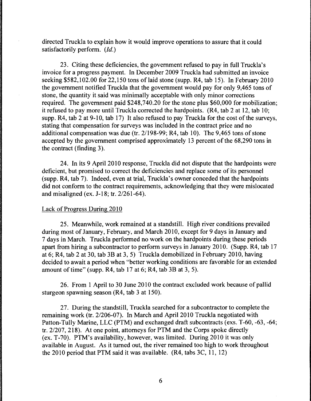directed Truckla to explain how it would improve operations to assure that it could satisfactorily perform. *(Id.)* 

23. Citing these deficiencies, the government refused to pay in full Truckla's invoice for a progress payment. In December 2009 Truckla had submitted an invoice seeking  $$582,102.00$  for 22,150 tons of laid stone (supp. R4, tab 15). In February 2010 the government notified Truckla that the government would pay for only 9,465 tons of stone, the quantity it said was minimally acceptable with only minor corrections required. The government paid \$248,740.20 for the stone plus \$60,000 for mobilization; it refused to pay more until Truckla corrected the hardpoints. (R4, tab 2 at 12, tab 10; supp. R4, tab 2 at 9-10, tab 17) It also refused to pay Truckla for the cost of the surveys, stating that compensation for surveys was included in the contract price and no additional compensation was due (tr. 21198-99; R4, tab 10). The 9,465 tons of stone accepted by the government comprised approximately 13 percent of the 68,290 tons in the contract (finding 3).

24. In its 9 April 2010 response, Truckla did not dispute that the hardpoints were deficient, but promised to correct the deficiencies and replace some of its personnel (supp. R4, tab 7). Indeed, even at trial, Truckla's owner conceded that the hardpoints did not conform to the contract requirements, acknowledging that they were mislocated and misaligned (ex. J-18; tr. 2/261-64 ).

## Lack of Progress During 2010

25. Meanwhile, work remained at a standstill. High river conditions prevailed during most of January, February, and March 2010, except for 9 days in January and 7 days in March. Truckla performed no work on the hardpoints during these periods apart from hiring a subcontractor to perform surveys in January 2010. (Supp. R4, tab 17 at 6; R4, tab 2 at 30, tab 3B at 3, 5) Truckla demobilized in February 2010, having decided to await a period when "better working conditions are favorable for an extended amount of time" (supp. R4, tab 17 at 6; R4, tab 3B at 3, 5).

26. From 1 April to 30 June 2010 the contract excluded work because of pallid sturgeon spawning season (R4, tab 3 at 150).

27. During the standstill, Truckla searched for a subcontractor to complete the remaining work (tr. 2/206-07). In March and April 2010 Truckla negotiated with Patton-Tully Marine, LLC (PTM) and exchanged draft subcontracts (exs. T-60, -63, -64; tr. 2/207, 218). At one point, attorneys for PTM and the Corps spoke directly (ex. T-70). PTM's availability, however, was limited. During 2010 it was only available in August. As it turned out, the river remained too high to work throughout the 2010 period that PTM said it was available. (R4, tabs 3C, 11, 12)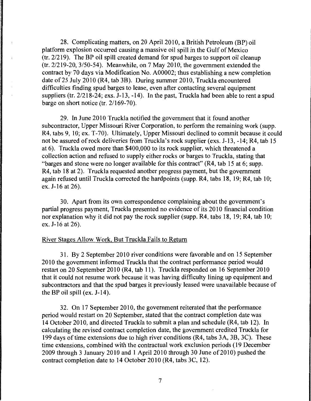28. Complicating matters, on 20 April 2010, a British Petroleum (BP) oil platform explosion occurred causing a massive oil spill in the Gulf of Mexico (tr. 2/219). The BP oil spill created demand for spud barges to support oil cleanup (tr. 2/219-20, 3/50-54). Meanwhile, on 7 May 2010, the government extended the contract by 70 days via Modification No. A00002; thus establishing a new completion date of 25 July 2010 (R4, tab 3B). During summer 2010, Truckla encountered difficulties finding spud barges to lease, even after contacting several equipment suppliers (tr. 2/218-24; exs. J-13, -14). In the past, Truckla had been able to rent a spud barge on short notice (tr. 2/169-70).

29. In June 2010 Truckla notified the government that it found another subcontractor, Upper Missouri River Corporation, to perform the remaining work (supp. R4, tabs 9, 10; ex. T-70). Ultimately, Upper Missouri declined to commit because it could not be assured of rock deliveries from Truckla's rock supplier (exs. J-13, -14; R4, tab 15 at 6). Truckla owed more than \$400,000 to its rock supplier, which threatened a collection action and refused to supply either rocks or barges to Truckla, stating that "barges and stone were no longer available for this contract" (R4, tab 15 at 6; supp. R4, tab 18 at 2). Truckla requested another progress payment, but the government again refused until Truckla corrected the hardpoints (supp. R4, tabs 18, 19; R4, tab 10; ex. J-16 at 26).

30. Apart from its own correspondence complaining about the government's partial progress payment, Truckla presented no evidence of its 2010 financial condition nor explanation why it did not pay the rock supplier (supp.  $R4$ , tabs 18, 19;  $R4$ , tab 10; ex. J-16 at 26).

### River Stages Allow Work, But Truckla Fails to Return

31. By 2 September 2010 river conditions were favorable and on 15 September 2010 the government informed Truckla that the contract performance period would restart on 20 September 2010 (R4, tab 11). Truckla responded on 16 September 2010 that it could not resume work because it was having difficulty lining up equipment and subcontractors and that the spud barges it previously leased were unavailable because of the BP oil spill (ex. J-14).

32. On 17 September 2010, the government reiterated that the performance period would restart on 20 September, stated that the contract completion date was 14 October 2010, and directed Truckla to submit a plan and schedule (R4, tab 12). In calculating the revised contract completion date, the government credited Truckla for 199 days of time extensions due to high river conditions (R4, tabs 3A, 3B, 3C). These time extensions, combined with the contractual work exclusion periods ( 19 December 2009 through 3 January 2010 and 1 April 2010 through 30 June of 2010) pushed the contract completion date to 14 October 2010 (R4, tabs 3C, 12).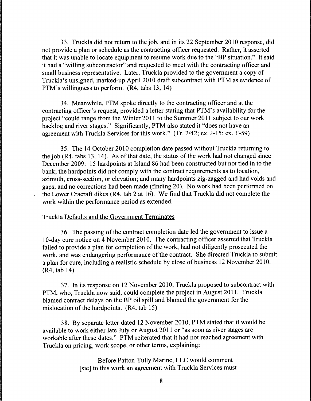33. Truckla did not return to the job, and in its 22 September 2010 response, did not provide a plan or schedule as the contracting officer requested. Rather, it asserted that it was unable to locate equipment to resume work due to the "BP situation." It said it had a "willing subcontractor" and requested to meet with the contracting officer and small business representative. Later, Truckla provided to the government a copy of Truckla's unsigned, marked-up April 2010 draft subcontract with PTM as evidence of PTM's willingness to perform. (R4, tabs 13, 14)

34. Meanwhile, PTM spoke directly to the contracting officer and at the contracting officer's request, provided a letter stating that PTM's availability for the project "could range from the Winter 2011 to the Summer 2011 subject to our work backlog and river stages." Significantly, PTM also stated it "does not have an agreement with Truckla Services for this work." (Tr. 2/42; ex. J-15; ex. T-59)

35. The 14 October 2010 completion date passed without Truckla returning to the job (R4, tabs 13, 14). As of that date, the status of the work had not changed since December 2009: 15 hardpoints at Island 86 had been constructed but not tied in to the bank; the hardpoints did not comply with the contract requirements as to location, azimuth, cross-section, or elevation; and many hardpoints zig-zagged and had voids and gaps, and no corrections had been made (finding 20). No work had been performed on the Lower Cracraft dikes (R4, tab 2 at 16). We find that Truckla did not complete the work within the performance period as extended.

## Truckla Defaults and the Government Terminates

36. The passing of the contract completion date led the government to issue a 10-day cure notice on 4 November 2010. The contracting officer asserted that Truckla failed to provide a plan for completion of the work, had not diligently prosecuted the work, and was endangering performance of the contract. She directed Truckla to submit a plan for cure, including a realistic schedule by close of business 12 November 2010. (R4, tab 14)

37. In its response on 12 November 2010, Truckla proposed to subcontract with PTM, who, Truckla now said, could complete the project in August 2011. Truckla blamed contract delays on the BP oil spill and blamed the government for the mislocation of the hardpoints. (R4, tab 15)

38. By separate letter dated 12 November 2010, PTM stated that it would be available to work either late July or August 2011 or "as soon as river stages are workable after these dates." PTM reiterated that it had not reached agreement with Truckla on pricing, work scope, or other terms, explaining:

> Before Patton-Tully Marine, LLC would comment (sic] to this work an agreement with Truckla Services must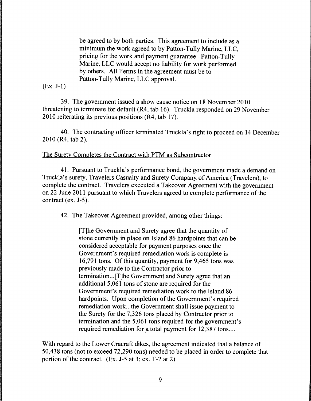be agreed to by both parties. This agreement to include as a minimum the work agreed to by Patton-Tully Marine, LLC, pricing for the work and payment guarantee. Patton-Tully Marine, LLC would accept no liability for work performed by others. All Terms in the agreement must be to Patton-Tully Marine, LLC approval.

(Ex. J-1)

39. The government issued a show cause notice on 18 November 2010 threatening to terminate for default (R4, tab 16). Truckla responded on 29 November 2010 reiterating its previous positions (R4, tab 17).

40. The contracting officer terminated Truckla's right to proceed on 14 December 2010 (R4, tab 2).

## The Surety Completes the Contract with PIM as Subcontractor

41. Pursuant to Truckla's performance bond, the government made a demand on Truckla's surety, Travelers Casualty and Surety Company. of America (Travelers), to complete the contract. Travelers executed a Takeover Agreement with the government on 22 June 2011 pursuant to which Travelers agreed to complete performance of the contract (ex. J-5).

42. The Takeover Agreement provided, among other things:

[T]he Government and Surety agree that the quantity of stone currently in place on Island 86 hardpoints that can be considered acceptable for payment purposes once the Government's required remediation work is complete is 16,791 tons. Of this quantity, payment for 9,465 tons was previously made to the Contractor prior to termination ... [T]he Government and Surety agree that an additional 5,061 tons of stone are required for the Government's required remediation work to the Island 86 hardpoints. Upon completion of the Government's required remediation work ... the Government shall issue payment to the Surety for the 7,326 tons placed by Contractor prior to termination and the 5,061 tons required for the government's required remediation for a total payment for 12,387 tons....

With regard to the Lower Cracraft dikes, the agreement indicated that a balance of 50,438 tons (not to exceed 72,290 tons) needed to be placed in order to complete that portion of the contract. (Ex. J-5 at 3; ex. T-2 at 2)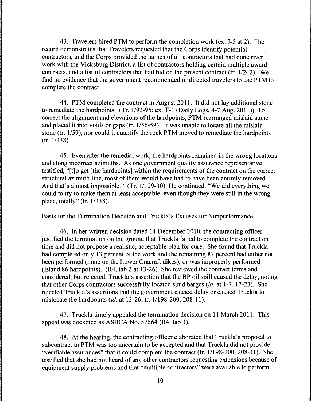43. Travelers hired PTM to perform the completion work (ex. J-5 at 2). The record demonstrates that Travelers requested that the Corps identify potential contractors, and the Corps provided the names of all contractors that had done river work with the Vicksburg District, a list of contractors holding certain multiple award contracts, and a list of contractors that had bid on the present contract (tr. 1/242). We find no evidence that the government recommended or directed travelers to use PTM to complete the contract.

44. PTM completed the contract in August 2011. It did not lay additional stone to remediate the hardpoints. (Tr. 1/92-95; ex. T-1 (Daily Logs, 4-7 Aug. 2011)) To correct the alignment and elevations of the hardpoints, PTM rearranged mislaid stone and placed it into voids or gaps (tr. 1/56-59). It was unable to locate all the mislaid stone (tr. 1/59), nor could it quantify the rock PTM moved to remediate the hardpoints (tr. 1/138).

45. Even after the remedial work, the hardpoints remained in the wrong locations and along incorrect azimuths. As one government quality assurance representative testified, "[t]o get [the hardpoints] within the requirements of the contract on the correct structural azimuth line, most of them would have had to have been entirely removed. And that's almost impossible." (Tr. 1/129-30) He continued, "We did everything we could to try to make them at least acceptable, even though they were still in the wrong place, totally" (tr. 1/138).

#### Basis for the Termination Decision and Truckla's Excuses for Nonperformance

46. In her written decision dated 14 December 2010, the contracting officer justified the termination on the ground that Truckla failed to complete the contract on time and did not propose a realistic, acceptable plan for cure. She found that Truckla had completed only 13 percent of the work and the remaining 87 percent had either not been performed (none on the Lower Cracraft dikes), or was improperly performed (Island 86 hardpoints). (R4, tab 2 at 13-26) She reviewed the contract terms and considered, but rejected, Truckla's assertion that the BP oil spill caused the delay, noting that other Corps contractors successfully located spud barges *(id.* at 1-7, 17-23). She rejected Truckla's assertions that the government caused delay or caused Truckla to mislocate the hardpoints *(id.* at 13-26; tr. 1/198-200, 208-11).

4 7. Truckla timely appealed the termination decision on 11 March 2011. This appeal was docketed as ASBCA No. 57564 (R4, tab 1).

48. At the hearing, the contracting officer elaborated that Truckla's proposal to subcontract to PTM was too uncertain to be accepted and that Truckla did not provide "verifiable assurances" that it could complete the contract (tr. 1/198-200, 208-11). She testified that she had not heard of any other contractors requesting extensions because of equipment supply problems and that "multiple contractors" were available to perform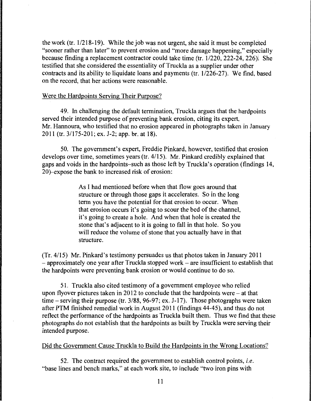the work (tr. 1/218-19). While the job was not urgent, she said it must be completed "sooner rather than later" to prevent erosion and "more damage happening," especially because finding a replacement contractor could take time (tr. 1/220, 222-24, 226). She testified that she considered the essentiality of Truckla as a supplier under other contracts and its ability to liquidate loans and payments (tr. 1/226-27). We find, based on the record, that her actions were reasonable.

## Were the Hardpoints Serving Their Purpose?

49. In challenging the default termination, Truckla argues that the hardpoints served their intended purpose of preventing bank erosion, citing its expert, Mr. Hannoura, who testified that no erosion appeared in photographs taken in January 2011 (tr. 3/175-201; ex. J-2; app. hr. at 18).

50. The government's expert, Freddie Pinkard, however, testified that erosion develops over time, sometimes years (tr. 4/15). Mr. Pinkard credibly explained that gaps and voids in the hardpoints-such as those left by Truckla's operation (findings 14, 20)-expose the bank to increased risk of erosion:

> As I had mentioned before when that flow goes around that structure or through those gaps it accelerates. So in the long term you have the potential for that erosion to occur. When that erosion occurs it's going to scour the bed of the channel, it's going to create a hole. And when that hole is created the stone that's adjacent to it is going to fall in that hole. So you will reduce the volume of stone that you actually have in that structure.

(Tr. 4/15) Mr. Pinkard's testimony persuades us that photos taken in January 2011 - approximately one year after Truckla stopped work – are insufficient to establish that the hardpoints were preventing bank erosion or would continue to do so.

51. Truckla also cited testimony of a government employee who relied upon flyover pictures taken in 2012 to conclude that the hardpoints were - at that time - serving their purpose (tr. 3/88, 96-97; ex. J-17). Those photographs were taken after PTM finished remedial work in August 2011 (findings 44-45), and thus do not reflect the performance of the hardpoints as Truckla built them. Thus we find that these photographs do not establish that the hardpoints as built by Truckla were serving their intended purpose.

## Did the Government Cause Truckla to Build the Hardpoints in the Wrong Locations?

52. The contract required the government to establish control points, *i.e.*  "base lines and bench marks," at each work site, to include "two iron pins with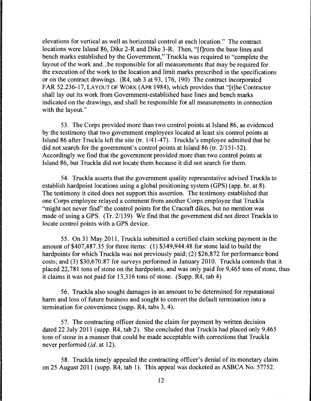elevations for vertical as well as horizontal control at each location." The contract locations were Island 86, Dike 2-R and Dike 3-R. Then, "[f]rom the base lines and bench marks established by the Government," Truckla was required to "complete the layout of the work and ... be responsible for all measurements that may be required for the execution of the work to the location and limit marks prescribed in the specifications or on the contract drawings. (R4, tab 3 at 93, 176, 190) The contract incorporated FAR 52.236-17, LAYOUT OF WORK (APR 1984), which provides that "[t]he Contractor shall lay out its work from Government-established base lines and bench marks indicated on the drawings, and shall be responsible for all measurements in connection with the layout."

53. The Corps provided more than two control points at Island 86, as evidenced by the testimony that two government employees located at least six control points at Island 86 after Truckla left the site (tr. 1/41-47). Truckla's employee admitted that he did not search for the government's control points at Island 86 (tr. 2/151-52). Accordingly we find that the government provided more than two control points at Island 86, but Truckla did not locate them because it did not search for them.

54. Truckla asserts that the government quality representative advised Truckla to establish hardpoint locations using a global positioning system (GPS) (app. hr. at 8). The testimony it cited does not support this assertion. The testimony established that one Corps employee relayed a comment from another Corps employee that Truckla "might not never find" the control points for the Cracraft dikes, but no mention was made of using a GPS. (Tr. 2/139) We find that the government did not direct Truckla to locate control points with a GPS device.

55. On 31May2011, Truckla submitted a certified claim seeking payment in the amount of \$407,487.35 for three items: (1) \$349,944.48 for stone laid to build the hardpoints for which Truckla was not previously paid; (2) \$26,872 for performance bond costs; and (3) \$30,670.87 for surveys performed in January 2010. Truckla contends that it placed 22, 781 tons of stone on the hardpoints, and was only paid for 9 ,465 tons of stone, thus it claims it was not paid for 13,316 tons of stone. (Supp. R4, tab 4)

56. Truckla also sought damages in an amount to be determined for reputational harm and loss of future business and sought to convert the default termination into a termination for convenience (supp. R4, tabs 3, 4).

57. The contracting officer denied the claim for payment by written decision dated 22 July 2011 (supp. R4, tab 2). She concluded that Truckla had placed only 9,465 tons of stone in a manner that could be made acceptable with corrections that Truckla never performed *(id.* at 12).

58. Truckla timely appealed the contracting officer's denial of its monetary claim on 25 August 2011 (supp. R4, tab 1). This appeal was docketed as ASBCA No. 57752.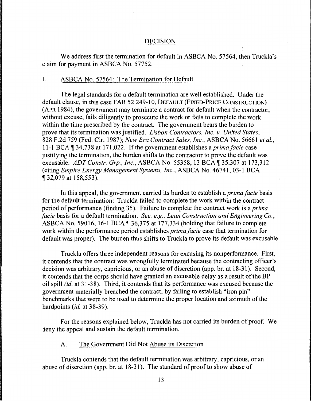#### DECISION

We address first the termination for default in ASBCA No. 57564, then Truckla's claim for payment in ASBCA No. 57752.

### I. ASBCA No. 57564: The Termination for Default

The legal standards for a default termination are well established. Under the default clause, in this case FAR 52.249-10, DEFAULT (FIXED-PRICE CONSTRUCTION) (APR 1984), the government may terminate a contract for default when the contractor, without excuse, fails diligently to prosecute the work or fails to complete the work within the time prescribed by the contract. The government bears the burden to prove that its termination was justified. *Lisbon Contractors, Inc. v. United States,*  828 F.2d 759 (Fed. Cir. 1987); *New Era Contract Sales, Inc.,* ASBCA No. 56661 *et al.,*  11-1 BCA 134, 738 at 171, 022. If the government establishes a *prima facie* case justifying the termination, the burden shifts to the contractor to prove the default was excusable. *ADT Constr. Grp., Inc.*, ASBCA No. 55358, 13 BCA 135,307 at 173,312 (citing *Empire Energy Management Systems, Inc.,* ASBCA No. 46741, 03-1 BCA **1** 32,079 at 158,553).

In this appeal, the government carried its burden to establish a *prima facie* basis for the default termination: Truckla failed to complete the work within the contract period of performance (finding 35). Failure to complete the contract work is a *prima facie* basis for a default termination. *See, e.g., Lean Construction and Engineering Co.,*  ASBCA No. 59016, 16-1 BCA  $\text{\textdegree{}}36,375$  at 177,334 (holding that failure to complete work within the performance period establishes *prima facie* case that termination for default was proper). The burden thus shifts to Truckla to prove its default was excusable.

Truckla offers three independent reasons for excusing its nonperformance. First, it contends that the contract was wrongfully terminated because the contracting officer's decision was arbitrary, capricious, or an abuse of discretion (app. br. at 18-31). Second, it contends that the corps should have granted an excusable delay as a result of the BP oil spill *(id.* at 31-38). Third, it contends that its performance was excused because the government materially breached the contract, by failing to establish "iron pin" benchmarks that were to be used to determine the proper location and azimuth of the hardpoints *(id.* at 38-39).

For the reasons explained below, Truckla has not carried its burden of proof. We deny the appeal and sustain the default termination.

# A. The Government Did Not Abuse its Discretion

Truckla contends that the default termination was arbitrary, capricious, or an abuse of discretion (app. hr. at 18-31 ). The standard of proof to show abuse of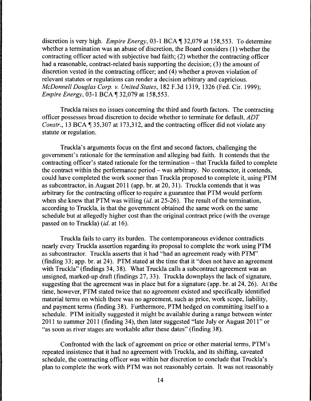discretion is very high. *Empire Energy*, 03-1 BCA ¶ 32,079 at 158,553. To determine whether a termination was an abuse of discretion, the Board considers (1) whether the contracting officer acted with subjective bad faith; (2) whether the contracting officer had a reasonable, contract-related basis supporting the decision; (3) the amount of discretion vested in the contracting officer; and (4) whether a proven violation of relevant statutes or regulations can render a decision arbitrary and capricious. *McDonnell Douglas Corp. v. United States,* 182 F .3d 1319, 1326 (Fed. Cir. 1999); *Empire Energy,* 03-1 BCA ¶ 32,079 at 158,553.

Truckla raises no issues concerning the third and fourth factors. The contracting officer possesses broad discretion to decide whether to terminate for default, *ADT Constr.,* 13 BCA  $\parallel$  35,307 at 173,312, and the contracting officer did not violate any statute or regulation.

Truckla's arguments focus on the first and second factors, challenging the government's rationale for the termination and alleging bad faith. It contends that the contracting officer's stated rationale for the termination  $-$  that Truckla failed to complete the contract within the performance period  $-$  was arbitrary. No contractor, it contends, could have completed the work sooner than Truckla proposed to complete it, using PTM as subcontractor, in August 2011 (app. br. at 20, 31 ). Truckla contends that it was arbitrary for the contracting officer to require a guarantee that PTM would perform when she knew that PTM was willing *(id.* at 25-26). The result of the termination, according to Truckla, is that the government obtained the same work on the same schedule but at allegedly higher cost than the original contract price (with the overage passed on to Truckla) *(id.* at 16).

Truckla fails to carry its burden. The contemporaneous evidence contradicts nearly every Truckla assertion regarding its proposal to complete the work using PTM as subcontractor. Truckla asserts that it had "had an agreement ready with PTM" (finding 33; app. br. at 24). PTM stated at the time that it "does not have an agreement with Truckla" (findings 34, 38). What Truckla calls a subcontract agreement was an unsigned, marked-up draft (findings 27, 33). Truckla downplays the lack of signature, suggesting that the agreement was in place but for a signature (app. br. at 24, 26). At the time, however, PTM stated twice that no agreement existed and specifically identified material terms on which there was no agreement, such as price, work scope, liability, and payment terms (finding 38). Furthermore, PTM hedged on committing itself to a schedule. PTM initially suggested it might be available during a range between winter 2011 to summer 2011 (finding 34 ), then later suggested "late July or August 2011" or "as soon as river stages are workable after these dates" (finding 38).

Confronted with the lack of agreement on price or other material terms, PTM's repeated insistence that it had no agreement with Truckla, and its shifting, caveated schedule, the contracting officer was within her discretion to conclude that Truckla's plan to complete the work with PTM was not reasonably certain. It was not reasonably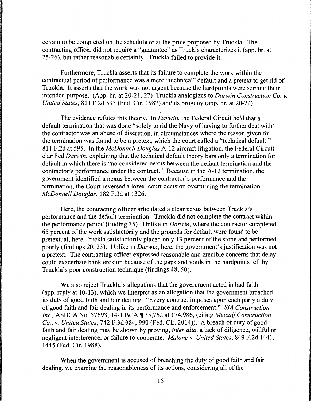certain to be completed on the schedule or at the price proposed by Truckla. The contracting officer did not require a "guarantee" as Truckla characterizes it (app. br. at 25-26), but rather reasonable certainty. Truckla failed to provide it. ;

Furthermore, Truckla asserts that its failure to complete the work within the contractual period of performance was a mere "technical" default and a pretext to get rid of Truckla. It asserts that the work was not urgent because the hardpoints were serving their intended purpose. (App. br. at 20-21, 27) Truckla analogizes to *Darwin Construction Co. v. United States, 811 F.2d 593 (Fed. Cir. 1987) and its progeny (app. br. at 20-21).* 

The evidence refutes this theory. In *Darwin,* the Federal Circuit held that a default termination that was done "solely to rid the Navy of having to further deal with" the contractor was an abuse of discretion, in circumstances where the reason given for the termination was found to be a pretext, which the court called a "technical default." 811 F.2d at 595. In the *McDonnell Douglas* A-12 aircraft litigation, the Federal Circuit clarified *Darwin,* explaining that the technical default theory bars only a termination for default in which there is "no considered nexus between the default termination and the contractor's performance under the contract." Because in the A-12 termination, the government identified a nexus between the contractor's performance and the termination, the Court reversed a lower court decision overturning the termination. *McDonnell Douglas,* 182 F.3d at 1326.

Here, the contracting officer articulated a clear nexus between Truckla's performance and the default termination: Truckla did not complete the contract within the performance period (finding 35). Unlike in *Darwin,* where the contractor completed 65 percent of the work satisfactorily and the grounds for default were found to be pretextual, here Truckla satisfactorily placed only 13 percent of the stone and performed poorly (findings 20, 23). Unlike in *Darwin,* here, the government's justification was not a pretext. The contracting officer expressed reasonable and credible concerns that delay could exacerbate bank erosion because of the gaps and voids in the hardpoints left by Truckla's poor construction technique (findings 48, 50).

We also reject Truckla's allegations that the government acted in bad faith (app. reply at 10-13), which we interpret as an allegation that the government breached its duty of good faith and fair dealing. "Every contract imposes upon each party a duty of good faith and fair dealing in its performance and enforcement." *SIA Construction, Inc., ASBCA No. 57693, 14-1 BCA*, 135,762 at 174,986, (citing *Metcalf Construction Co., v. United States,* 742 F.3d 984, 990 (Fed. Cir. 2014)). A breach of duty of good faith and fair dealing may be shown by proving, *inter alia,* a lack of diligence, willful or negligent interference, or failure to cooperate. *Malone v. United States,* 849 F.2d 1441, 1445 (Fed. Cir. 1988).

When the government is accused of breaching the duty of good faith and fair dealing, we examine the reasonableness of its actions, considering all of the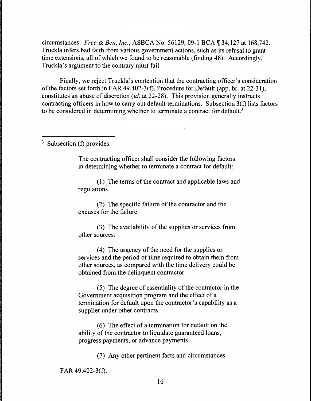circumstances. *Free* & *Ben, Inc.,* ASBCA No. 56129, 09-1 BCA ~134,127 at 168,742. Truckla infers bad faith from various government actions, such as its refusal to grant time extensions, all of which we found to be reasonable (finding 48). Accordingly, Truckla's argument to the contrary must fail.

Finally, we reject Truckla's contention that the contracting officer's consideration of the factors set forth in FAR 49.402-3(f), Procedure for Default (app. br. at 22-31), constitutes an abuse of discretion *(id.* at 22-28). This provision generally instructs contracting officers in how to carry out default terminations. Subsection 3(f) lists factors to be considered in determining whether to terminate a contract for default.<sup>3</sup>

<sup>3</sup> Subsection (f) provides:

The contracting officer shall consider the following factors in determining whether to terminate a contract for default:

( 1) The terms of the contract and applicable laws and regulations.

(2) The specific failure of the contractor and the excuses for the failure.

(3) The availability of the supplies or services from other sources.

(4) The urgency of the need for the supplies or services and the period of time required to obtain them from other sources, as compared with the time delivery could be obtained from the delinquent contractor

(5) The degree of essentiality of the contractor in the Government acquisition program and the effect of a termination for default upon the contractor's capability as a supplier under other contracts.

(6) The effect of a termination for default on the ability of the contractor to liquidate guaranteed loans, progress payments, or advance payments.

(7) Any other pertinent facts and circumstances.

FAR 49.402-3(f).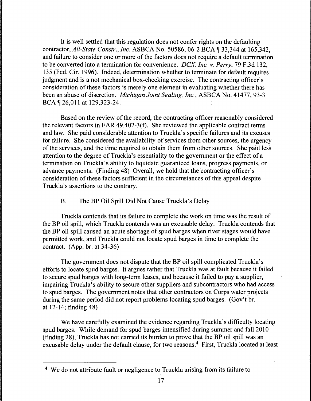It is well settled that this regulation does not confer rights on the defaulting contractor, *All-State Constr., Inc.* ASBCA No. 50586, 06-2 BCA ¶ 33,344 at 165,342, and failure to consider one or more of the factors does not require a default termination to be converted into a termination for convenience. *DCX, Inc. v. Perry,* 79 F .3d 132, 135 (Fed. Cir. 1996). Indeed, determination whether to terminate for default requires judgment and is a not mechanical box-checking exercise. The contracting officer's consideration of these factors is merely one element in evaluating whether there has been an abuse of discretion. *Michigan Joint Sealing, Inc.,* ASBCA No. 41477, 93-3 BCA ¶ 26,011 at 129,323-24.

Based on the review of the record, the contracting officer reasonably considered the relevant factors in FAR 49.402-3(f). She reviewed the applicable contract terms and law. She paid considerable attention to Truckla's specific failures and its excuses for failure. She considered the availability of services from other sources, the urgency of the services, and the time required to obtain them from other sources. She paid less attention to the degree of Truckla's essentiality to the government or the effect of a termination on Truckla's ability to liquidate guaranteed loans, progress payments, or advance payments. (Finding 48) Overall, we hold that the contracting officer's consideration of these factors sufficient in the circumstances of this appeal despite Truckla's assertions to the contrary.

## B. The BP Oil Spill Did Not Cause Truckla's Delay

Truckla contends that its failure to complete the work on time was the result of the BP oil spill, which Truckla contends was an excusable delay. Truckla contends that the BP oil spill caused an acute shortage of spud barges when river stages would have permitted work, and Truckla could not locate spud barges in time to complete the contract. (App. br. at  $34-36$ )

The government does not dispute that the BP oil spill complicated Truckla's efforts to locate spud barges. It argues rather that Truckla was at fault because it failed to secure spud barges with long-term leases, and because it failed to pay a supplier, impairing Truckla's ability to secure other suppliers and subcontractors who had access to spud barges. The government notes that other contractors on Corps water projects during the same period did not report problems locating spud barges. (Gov't br. at 12-14; finding 48)

We have carefully examined the evidence regarding Truckla's difficulty locating spud barges. While demand for spud barges intensified during summer and fall 2010 (finding 28), Truckla has not carried its burden to prove that the BP oil spill was an excusable delay under the default clause, for two reasons.4 First, Truckla located at least

<sup>&</sup>lt;sup>4</sup> We do not attribute fault or negligence to Truckla arising from its failure to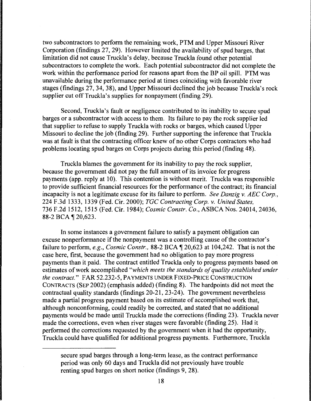two subcontractors to perform the remaining work, PTM and Upper Missouri River Corporation (findings 27, 29). However limited the availability of spud barges, that limitation did not cause Truckla's delay, because Truckla found other potential subcontractors to complete the work. Each potential subcontractor did not complete the work within the performance period for reasons apart from the BP oil spill. PTM was unavailable during the performance period at times coinciding with favorable river stages (findings 27, 34, 38), and Upper Missouri declined the job because Truckla's rock supplier cut off Truckla's supplies for nonpayment (finding 29).

Second, Truckla's fault or negligence contributed to its inability to secure spud barges or a subcontractor with access to them. Its failure to pay the rock supplier led that supplier to refuse to supply Truckla with rocks or barges, which caused Upper Missouri to decline the job (finding 29). Further supporting the inference that Truckla was at fault is that the contracting officer knew of no other Corps contractors who had problems locating spud barges on Corps projects during this period (finding 48).

Truckla blames the government for its inability to pay the rock supplier, because the government did not pay the full amount of its invoice for progress payments (app. reply at 10). This contention is without merit. Truckla was responsible to provide sufficient financial resources for the performance of the contract; its financial incapacity is not a legitimate excuse for its failure to perform. *See Danzig v. AEC Corp.,*  224 F.3d 1333, 1339 (Fed. Cir. 2000); *TGC Contracting Corp. v. United States,*  736 F.2d 1512, 1515 (Fed. Cir. 1984); *Cosmic Constr. Co.,* ASBCA Nos. 24014, 24036, 88-2 BCA ¶ 20,623.

In some instances a government failure to satisfy a payment obligation can excuse nonperformance if the nonpayment was a controlling cause of the contractor's failure to perform, *e.g., Cosmic Constr.*, 88-2 BCA  $\parallel$  20,623 at 104,242. That is not the case here, first, because the government had no obligation to pay more progress payments than it paid. The contract entitled Truckla only to progress payments based on estimates of work accomplished *"which meets the standards of quality established under the contract."* FAR 52.232-5, PAYMENTS UNDER FIXED-PRICE CONSTRUCTION CONTRACTS (SEP 2002) (emphasis added) (finding 8). The hardpoints did not meet the contractual quality standards (findings 20-21, 23-24). The government nevertheless made a partial progress payment based on its estimate of accomplished work that, although nonconforming, could readily be corrected, and stated that no additional payments would be made until Truckla made the corrections (finding 23). Truckla never made the corrections, even when river stages were favorable (finding 25). Had it performed the corrections requested by the government when it had the opportunity, Truckla could have qualified for additional progress payments. Furthermore, Truckla

secure spud barges through a long-term lease, as the contract performance period was only 60 days and Truckla did not previously have trouble renting spud barges on short notice (findings 9, 28).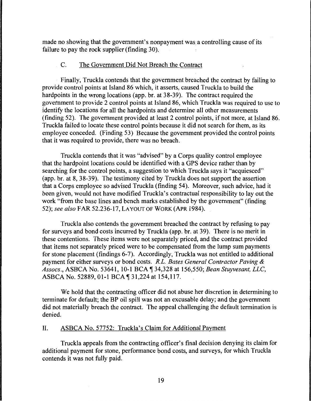made no showing that the government's nonpayment was a controlling cause of its failure to pay the rock supplier (finding 30).

## C. The Government Did Not Breach the Contract

Finally, Truckla contends that the government breached the contract by failing to provide control points at Island 86 which, it asserts, caused Truckla to build the hardpoints in the wrong locations (app. br. at 38-39). The contract required the government to provide 2 control points at Island 86, which Truckla was required to use to identify the locations for all the hardpoints and determine all other measurements (finding 52). The government provided at least 2 control points, if not more, at Island 86. Truckla failed to locate these control points because it did not search for them, as its employee conceded. (Finding 53) Because the government provided the control points that it was required to provide, there was no breach.

Truckla contends that it was "advised" by a Corps quality control employee that the hardpoint locations could be identified with a OPS device rather than by searching for the control points, a suggestion to which Truckla says it "acquiesced" (app. br. at 8, 38-39). The testimony cited by Truckla does not support the assertion that a Corps employee so advised Truckla (finding 54). Moreover, such advice, had it been given, would not have modified Truckla's contractual responsibility to lay out the work "from the base lines and bench marks established by the government" (finding 52); *see also* FAR 52.236-17, LAYOUT OF WORK (APR 1984).

Truckla also contends the government breached the contract by refusing to pay for surveys and bond costs incurred by Truckla (app. br. at 39). There is no merit in these contentions. These items were not separately priced, and the contract provided that items not separately priced were to be compensated from the lump sum payments for stone placement (findings 6-7). Accordingly, Truckla was not entitled to additional payment for either surveys or bond costs. *R.L. Bates General Contractor Paving* & *Assocs.,* ASBCA No. 53641, 10-1 BCA ~ 34,328 at 156,550; *Bean Stuyvesant, LLC,*  ASBCA No. 52889, 01-1 BCA ¶ 31,224 at 154,117.

We hold that the contracting officer did not abuse her discretion in determining to terminate for default; the BP oil spill was not an excusable delay; and the government did not materially breach the contract. The appeal challenging the default termination is denied.

## II. ASBCA No. 57752: Truckla's Claim for Additional Payment

Truckla appeals from the contracting officer's final decision denying its claim for additional payment for stone, performance bond costs, and surveys, for which Truckla contends it was not fully paid.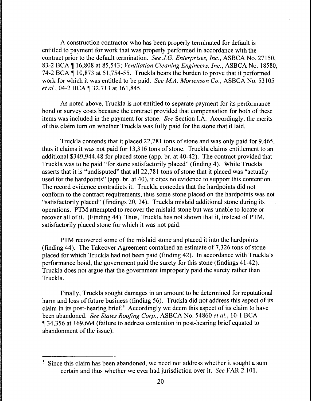A construction contractor who has been properly terminated for default is entitled to payment for work that was properly performed in accordance with the contract prior to the default termination. *See J.G. Enterprises, Inc.,* ASBCA No. 27150, 83-2 BCA ¶ 16,808 at 85,543; *Ventilation Cleaning Engineers, Inc.*, ASBCA No. 18580, 74-2 BCA  $\parallel$  10,873 at 51,754-55. Truckla bears the burden to prove that it performed work for which it was entitled to be paid. *See MA. Mortenson Co.,* ASBCA No. 53105 *et al.*, 04-2 BCA ¶ 32,713 at 161,845.

As noted above, Truckla is not entitled to separate payment for its performance bond or survey costs because the contract provided that compensation for both of these items was included in the payment for stone. *See* Section I.A. Accordingly, the merits of this claim tum on whether Truckla was fully paid for the stone that it laid.

Truckla contends that it placed 22, 781 tons of stone and was only paid for 9,465, thus it claims it was not paid for 13,316 tons of stone. Truckla claims entitlement to an additional \$349,944.48 for placed stone (app. hr. at 40-42). The contract provided that Truckla was to be paid "for stone satisfactorily placed" (finding 4). While Truckla asserts that it is "undisputed" that all 22, 781 tons of stone that it placed was "actually used for the hardpoints" (app. br. at 40), it cites no evidence to support this contention. The record evidence contradicts it. Truckla concedes that the hardpoints did not conform to the contract requirements, thus some stone placed on the hardpoints was not "satisfactorily placed" (findings 20, 24). Truckla mislaid additional stone during its operations. PTM attempted to recover the mislaid stone but was unable to locate or recover all of it. (Finding 44) Thus, Truckla has not shown that it, instead of PTM, satisfactorily placed stone for which it was not paid.

PTM recovered some of the mislaid stone and placed it into the hardpoints (finding 44). The Takeover Agreement contained an estimate of  $7,326$  tons of stone placed for which Truckla had not been paid (finding 42). In accordance with Truckla's performance bond, the government paid the surety for this stone (findings 41-42). Truckla does not argue that the government improperly paid the surety rather than Truckla.

Finally, Truckla sought damages in an amount to be determined for reputational harm and loss of future business (finding 56). Truckla did not address this aspect of its claim in its post-hearing brief.<sup>5</sup> Accordingly we deem this aspect of its claim to have been abandoned. *See States Roofing Corp.,* ASBCA No. 54860 *et al.,* 10-1 BCA <sup>~</sup>34,356 at 169,664 (failure to address contention in post-hearing brief equated to abandonment of the issue).

<sup>&</sup>lt;sup>5</sup> Since this claim has been abandoned, we need not address whether it sought a sum certain and thus whether we ever had jurisdiction over it. *See* FAR 2.101.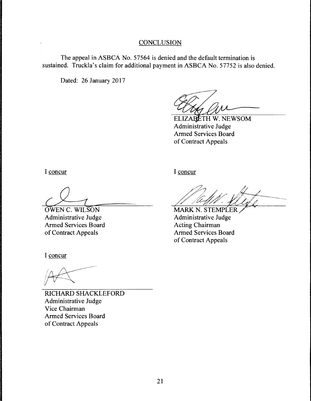# **CONCLUSION**

The appeal in ASBCA No. 57564 is denied and the default termination is sustained. Truckla's claim for additional payment in ASBCA No. 57752 is also denied.

Dated: 26 January 2017

ELIZABETH W. NEWSOM Administrative Judge Armed Services Board of Contract Appeals

I concur

*cb\_*  OWEN C. WILSON

Administrative Judge Armed Services Board of Contract Appeals

I concur

MARK N. STEMPLER

Administrative Judge Acting Chairman Armed Services Board of Contract Appeals

I concur

RICHARD SHACKLEFORD Administrative Judge Vice Chairman Armed Services Board of Contract Appeals